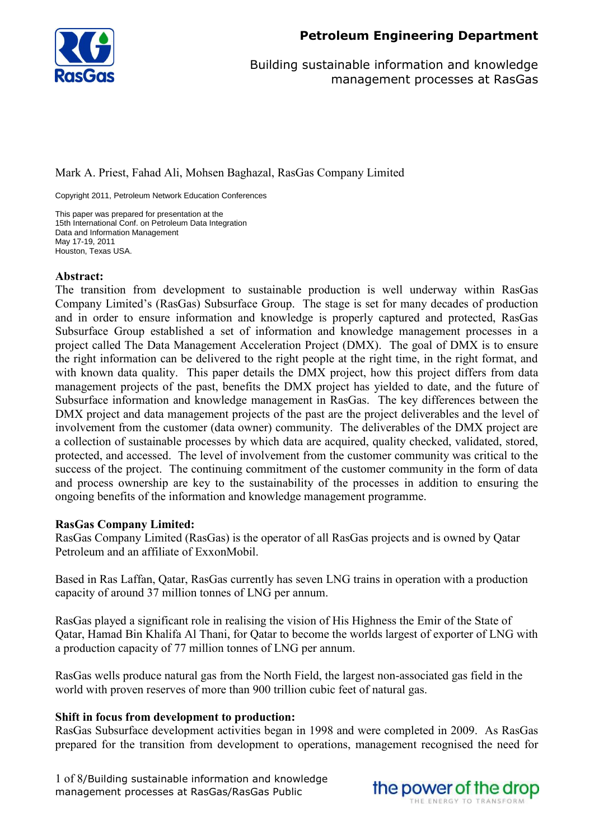

### Mark A. Priest, Fahad Ali, Mohsen Baghazal, RasGas Company Limited

Copyright 2011, Petroleum Network Education Conferences

This paper was prepared for presentation at the 15th International Conf. on Petroleum Data Integration Data and Information Management May 17-19, 2011 Houston, Texas USA.

### **Abstract:**

The transition from development to sustainable production is well underway within RasGas Company Limited's (RasGas) Subsurface Group. The stage is set for many decades of production and in order to ensure information and knowledge is properly captured and protected, RasGas Subsurface Group established a set of information and knowledge management processes in a project called The Data Management Acceleration Project (DMX). The goal of DMX is to ensure the right information can be delivered to the right people at the right time, in the right format, and with known data quality. This paper details the DMX project, how this project differs from data management projects of the past, benefits the DMX project has yielded to date, and the future of Subsurface information and knowledge management in RasGas. The key differences between the DMX project and data management projects of the past are the project deliverables and the level of involvement from the customer (data owner) community. The deliverables of the DMX project are a collection of sustainable processes by which data are acquired, quality checked, validated, stored, protected, and accessed. The level of involvement from the customer community was critical to the success of the project. The continuing commitment of the customer community in the form of data and process ownership are key to the sustainability of the processes in addition to ensuring the ongoing benefits of the information and knowledge management programme.

### **RasGas Company Limited:**

RasGas Company Limited (RasGas) is the operator of all RasGas projects and is owned by Qatar Petroleum and an affiliate of ExxonMobil.

Based in Ras Laffan, Qatar, RasGas currently has seven LNG trains in operation with a production capacity of around 37 million tonnes of LNG per annum.

RasGas played a significant role in realising the vision of His Highness the Emir of the State of Qatar, Hamad Bin Khalifa Al Thani, for Qatar to become the worlds largest of exporter of LNG with a production capacity of 77 million tonnes of LNG per annum.

RasGas wells produce natural gas from the North Field, the largest non-associated gas field in the world with proven reserves of more than 900 trillion cubic feet of natural gas.

### **Shift in focus from development to production:**

RasGas Subsurface development activities began in 1998 and were completed in 2009. As RasGas prepared for the transition from development to operations, management recognised the need for

1 of 8/Building sustainable information and knowledge management processes at RasGas/RasGas Public

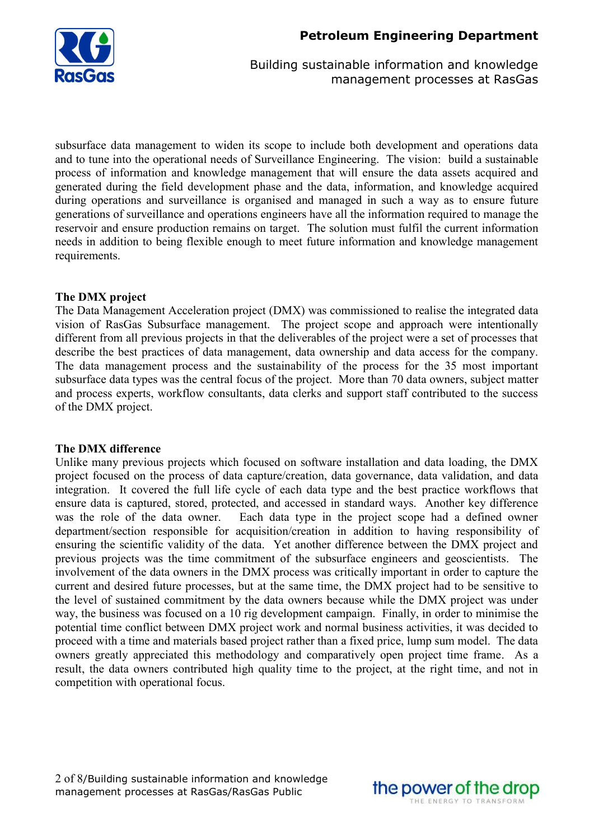

subsurface data management to widen its scope to include both development and operations data and to tune into the operational needs of Surveillance Engineering. The vision: build a sustainable process of information and knowledge management that will ensure the data assets acquired and generated during the field development phase and the data, information, and knowledge acquired during operations and surveillance is organised and managed in such a way as to ensure future generations of surveillance and operations engineers have all the information required to manage the reservoir and ensure production remains on target. The solution must fulfil the current information needs in addition to being flexible enough to meet future information and knowledge management requirements.

# **The DMX project**

The Data Management Acceleration project (DMX) was commissioned to realise the integrated data vision of RasGas Subsurface management. The project scope and approach were intentionally different from all previous projects in that the deliverables of the project were a set of processes that describe the best practices of data management, data ownership and data access for the company. The data management process and the sustainability of the process for the 35 most important subsurface data types was the central focus of the project. More than 70 data owners, subject matter and process experts, workflow consultants, data clerks and support staff contributed to the success of the DMX project.

## **The DMX difference**

Unlike many previous projects which focused on software installation and data loading, the DMX project focused on the process of data capture/creation, data governance, data validation, and data integration. It covered the full life cycle of each data type and the best practice workflows that ensure data is captured, stored, protected, and accessed in standard ways. Another key difference was the role of the data owner. Each data type in the project scope had a defined owner department/section responsible for acquisition/creation in addition to having responsibility of ensuring the scientific validity of the data. Yet another difference between the DMX project and previous projects was the time commitment of the subsurface engineers and geoscientists. The involvement of the data owners in the DMX process was critically important in order to capture the current and desired future processes, but at the same time, the DMX project had to be sensitive to the level of sustained commitment by the data owners because while the DMX project was under way, the business was focused on a 10 rig development campaign. Finally, in order to minimise the potential time conflict between DMX project work and normal business activities, it was decided to proceed with a time and materials based project rather than a fixed price, lump sum model. The data owners greatly appreciated this methodology and comparatively open project time frame. As a result, the data owners contributed high quality time to the project, at the right time, and not in competition with operational focus.

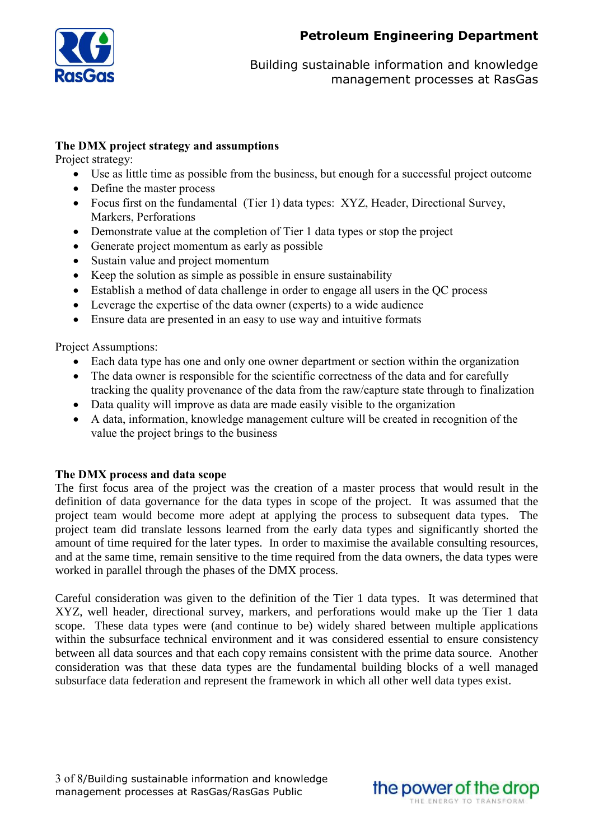

## **The DMX project strategy and assumptions**

Project strategy:

- Use as little time as possible from the business, but enough for a successful project outcome
- Define the master process
- Focus first on the fundamental (Tier 1) data types: XYZ, Header, Directional Survey, Markers, Perforations
- Demonstrate value at the completion of Tier 1 data types or stop the project
- Generate project momentum as early as possible
- Sustain value and project momentum
- $\bullet$  Keep the solution as simple as possible in ensure sustainability
- Establish a method of data challenge in order to engage all users in the QC process
- Leverage the expertise of the data owner (experts) to a wide audience
- Ensure data are presented in an easy to use way and intuitive formats

Project Assumptions:

- Each data type has one and only one owner department or section within the organization
- The data owner is responsible for the scientific correctness of the data and for carefully tracking the quality provenance of the data from the raw/capture state through to finalization
- Data quality will improve as data are made easily visible to the organization
- A data, information, knowledge management culture will be created in recognition of the value the project brings to the business

## **The DMX process and data scope**

The first focus area of the project was the creation of a master process that would result in the definition of data governance for the data types in scope of the project. It was assumed that the project team would become more adept at applying the process to subsequent data types. The project team did translate lessons learned from the early data types and significantly shorted the amount of time required for the later types. In order to maximise the available consulting resources, and at the same time, remain sensitive to the time required from the data owners, the data types were worked in parallel through the phases of the DMX process.

Careful consideration was given to the definition of the Tier 1 data types. It was determined that XYZ, well header, directional survey, markers, and perforations would make up the Tier 1 data scope. These data types were (and continue to be) widely shared between multiple applications within the subsurface technical environment and it was considered essential to ensure consistency between all data sources and that each copy remains consistent with the prime data source. Another consideration was that these data types are the fundamental building blocks of a well managed subsurface data federation and represent the framework in which all other well data types exist.

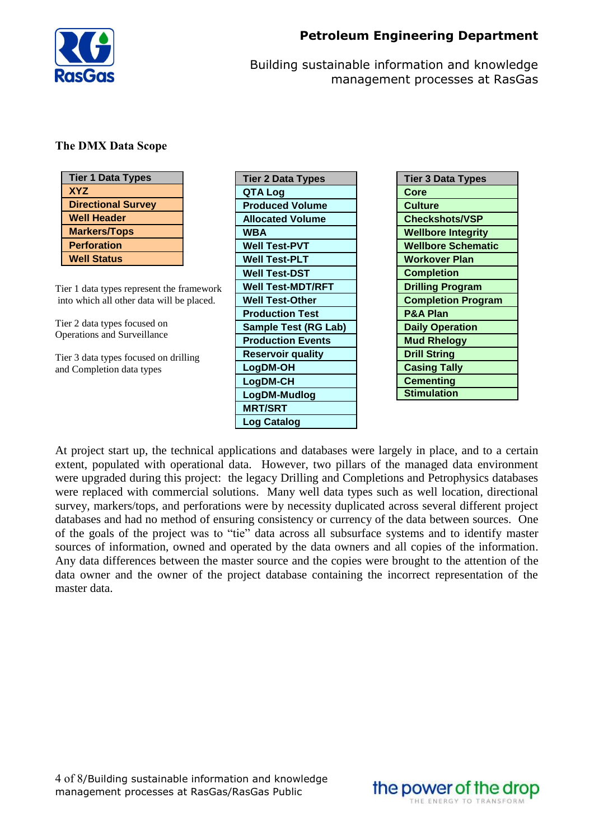

# **The DMX Data Scope**

| <b>Tier 1 Data Types</b>  |
|---------------------------|
| <b>XYZ</b>                |
| <b>Directional Survey</b> |
| <b>Well Header</b>        |
| <b>Markers/Tops</b>       |
| <b>Perforation</b>        |
| <b>Well Status</b>        |

Tier 1 data types represent the framework into which all other data will be placed.

Tier 2 data types focused on Operations and Surveillance

Tier 3 data types focused on drilling and Completion data types

| <b>Tier 2 Data Types</b> |
|--------------------------|
| QTA Log                  |
| <b>Produced Volume</b>   |
| <b>Allocated Volume</b>  |
| WBA                      |
| <b>Well Test-PVT</b>     |
| <b>Well Test-PLT</b>     |
| <b>Well Test-DST</b>     |
| <b>Well Test-MDT/RFT</b> |
| <b>Well Test-Other</b>   |
| <b>Production Test</b>   |
| Sample Test (RG Lab)     |
| <b>Production Events</b> |
| <b>Reservoir quality</b> |
| LogDM-OH                 |
| LogDM-CH                 |
| LogDM-Mudlog             |
| <b>MRT/SRT</b>           |
| <b>Log Catalog</b>       |

At project start up, the technical applications and databases were largely in place, and to a certain extent, populated with operational data. However, two pillars of the managed data environment were upgraded during this project: the legacy Drilling and Completions and Petrophysics databases were replaced with commercial solutions. Many well data types such as well location, directional survey, markers/tops, and perforations were by necessity duplicated across several different project databases and had no method of ensuring consistency or currency of the data between sources. One of the goals of the project was to "tie" data across all subsurface systems and to identify master sources of information, owned and operated by the data owners and all copies of the information. Any data differences between the master source and the copies were brought to the attention of the data owner and the owner of the project database containing the incorrect representation of the master data.

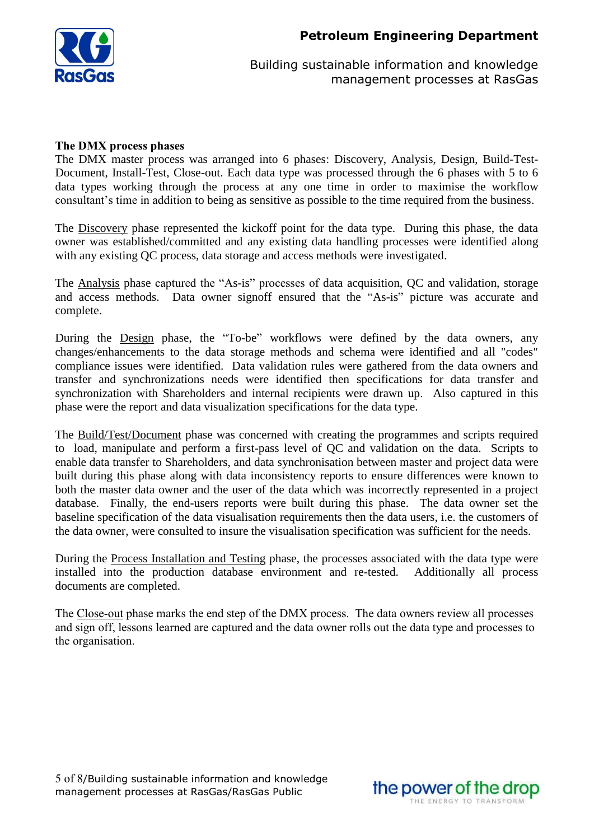

### **The DMX process phases**

The DMX master process was arranged into 6 phases: Discovery, Analysis, Design, Build-Test-Document, Install-Test, Close-out. Each data type was processed through the 6 phases with 5 to 6 data types working through the process at any one time in order to maximise the workflow consultant's time in addition to being as sensitive as possible to the time required from the business.

The Discovery phase represented the kickoff point for the data type. During this phase, the data owner was established/committed and any existing data handling processes were identified along with any existing QC process, data storage and access methods were investigated.

The Analysis phase captured the "As-is" processes of data acquisition, QC and validation, storage and access methods. Data owner signoff ensured that the "As-is" picture was accurate and complete.

During the **Design** phase, the "To-be" workflows were defined by the data owners, any changes/enhancements to the data storage methods and schema were identified and all "codes" compliance issues were identified. Data validation rules were gathered from the data owners and transfer and synchronizations needs were identified then specifications for data transfer and synchronization with Shareholders and internal recipients were drawn up. Also captured in this phase were the report and data visualization specifications for the data type.

The Build/Test/Document phase was concerned with creating the programmes and scripts required to load, manipulate and perform a first-pass level of QC and validation on the data. Scripts to enable data transfer to Shareholders, and data synchronisation between master and project data were built during this phase along with data inconsistency reports to ensure differences were known to both the master data owner and the user of the data which was incorrectly represented in a project database. Finally, the end-users reports were built during this phase. The data owner set the baseline specification of the data visualisation requirements then the data users, i.e. the customers of the data owner, were consulted to insure the visualisation specification was sufficient for the needs.

During the Process Installation and Testing phase, the processes associated with the data type were installed into the production database environment and re-tested. Additionally all process documents are completed.

The Close-out phase marks the end step of the DMX process. The data owners review all processes and sign off, lessons learned are captured and the data owner rolls out the data type and processes to the organisation.

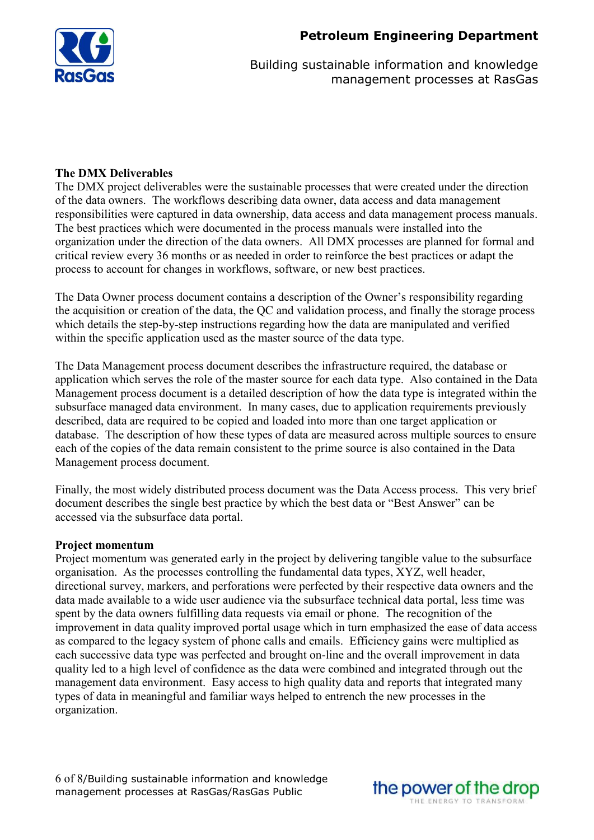

### **The DMX Deliverables**

The DMX project deliverables were the sustainable processes that were created under the direction of the data owners. The workflows describing data owner, data access and data management responsibilities were captured in data ownership, data access and data management process manuals. The best practices which were documented in the process manuals were installed into the organization under the direction of the data owners. All DMX processes are planned for formal and critical review every 36 months or as needed in order to reinforce the best practices or adapt the process to account for changes in workflows, software, or new best practices.

The Data Owner process document contains a description of the Owner's responsibility regarding the acquisition or creation of the data, the QC and validation process, and finally the storage process which details the step-by-step instructions regarding how the data are manipulated and verified within the specific application used as the master source of the data type.

The Data Management process document describes the infrastructure required, the database or application which serves the role of the master source for each data type. Also contained in the Data Management process document is a detailed description of how the data type is integrated within the subsurface managed data environment. In many cases, due to application requirements previously described, data are required to be copied and loaded into more than one target application or database. The description of how these types of data are measured across multiple sources to ensure each of the copies of the data remain consistent to the prime source is also contained in the Data Management process document.

Finally, the most widely distributed process document was the Data Access process. This very brief document describes the single best practice by which the best data or "Best Answer" can be accessed via the subsurface data portal.

### **Project momentum**

Project momentum was generated early in the project by delivering tangible value to the subsurface organisation. As the processes controlling the fundamental data types, XYZ, well header, directional survey, markers, and perforations were perfected by their respective data owners and the data made available to a wide user audience via the subsurface technical data portal, less time was spent by the data owners fulfilling data requests via email or phone. The recognition of the improvement in data quality improved portal usage which in turn emphasized the ease of data access as compared to the legacy system of phone calls and emails. Efficiency gains were multiplied as each successive data type was perfected and brought on-line and the overall improvement in data quality led to a high level of confidence as the data were combined and integrated through out the management data environment. Easy access to high quality data and reports that integrated many types of data in meaningful and familiar ways helped to entrench the new processes in the organization.

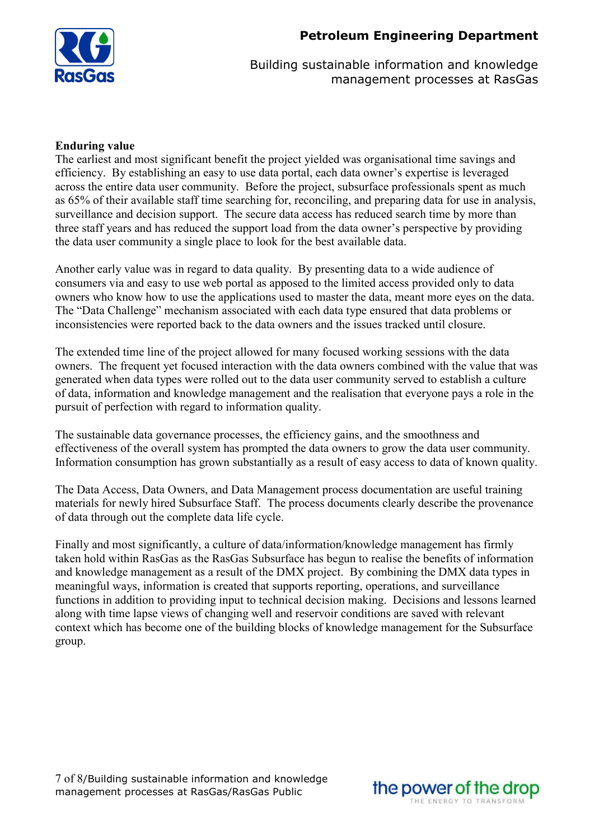



### **Enduring value**

The earliest and most significant benefit the project yielded was organisational time savings and efficiency. By establishing an easy to use data portal, each data owner's expertise is leveraged across the entire data user community. Before the project, subsurface professionals spent as much as 65% of their available staff time searching for, reconciling, and preparing data for use in analysis, surveillance and decision support. The secure data access has reduced search time by more than three staff years and has reduced the support load from the data owner's perspective by providing the data user community a single place to look for the best available data.

Another early value was in regard to data quality. By presenting data to a wide audience of consumers via and easy to use web portal as apposed to the limited access provided only to data owners who know how to use the applications used to master the data, meant more eyes on the data. The "Data Challenge" mechanism associated with each data type ensured that data problems or inconsistencies were reported back to the data owners and the issues tracked until closure.

The extended time line of the project allowed for many focused working sessions with the data owners. The frequent yet focused interaction with the data owners combined with the value that was generated when data types were rolled out to the data user community served to establish a culture of data, information and knowledge management and the realisation that everyone pays a role in the pursuit of perfection with regard to information quality.

The sustainable data governance processes, the efficiency gains, and the smoothness and effectiveness of the overall system has prompted the data owners to grow the data user community. Information consumption has grown substantially as a result of easy access to data of known quality.

The Data Access, Data Owners, and Data Management process documentation are useful training materials for newly hired Subsurface Staff. The process documents clearly describe the provenance of data through out the complete data life cycle.

Finally and most significantly, a culture of data/information/knowledge management has firmly taken hold within RasGas as the RasGas Subsurface has begun to realise the benefits of information and knowledge management as a result of the DMX project. By combining the DMX data types in meaningful ways, information is created that supports reporting, operations, and surveillance functions in addition to providing input to technical decision making. Decisions and lessons learned along with time lapse views of changing well and reservoir conditions are saved with relevant context which has become one of the building blocks of knowledge management for the Subsurface group.

7 of 8/Building sustainable information and knowledge management processes at RasGas/RasGas Public